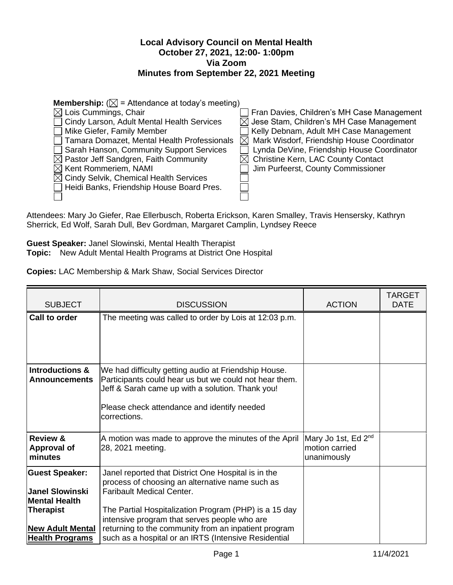## **Local Advisory Council on Mental Health October 27, 2021, 12:00- 1:00pm Via Zoom Minutes from September 22, 2021 Meeting**

| <b>Membership:</b> ( $\boxtimes$ = Attendance at today's meeting) |                                                      |  |  |
|-------------------------------------------------------------------|------------------------------------------------------|--|--|
| $\boxtimes$ Lois Cummings, Chair                                  | Fran Davies, Children's MH Case Management           |  |  |
| Cindy Larson, Adult Mental Health Services                        | $\boxtimes$ Jese Stam, Children's MH Case Management |  |  |
| Mike Giefer, Family Member                                        | Kelly Debnam, Adult MH Case Management               |  |  |
| Tamara Domazet, Mental Health Professionals                       | Mark Wisdorf, Friendship House Coordinator           |  |  |
| Sarah Hanson, Community Support Services                          | Lynda DeVine, Friendship House Coordinator           |  |  |
| $\boxtimes$ Pastor Jeff Sandgren, Faith Community                 | <b>Christine Kern, LAC County Contact</b>            |  |  |
| $\boxtimes$ Kent Rommeriem, NAMI                                  | Jim Purfeerst, County Commissioner                   |  |  |
| $\boxtimes$ Cindy Selvik, Chemical Health Services                |                                                      |  |  |
| Heidi Banks, Friendship House Board Pres.                         |                                                      |  |  |
|                                                                   |                                                      |  |  |

Attendees: Mary Jo Giefer, Rae Ellerbusch, Roberta Erickson, Karen Smalley, Travis Hensersky, Kathryn Sherrick, Ed Wolf, Sarah Dull, Bev Gordman, Margaret Camplin, Lyndsey Reece

**Guest Speaker:** Janel Slowinski, Mental Health Therapist **Topic:** New Adult Mental Health Programs at District One Hospital

| Copies: LAC Membership & Mark Shaw, Social Services Director |  |
|--------------------------------------------------------------|--|
|--------------------------------------------------------------|--|

| <b>SUBJECT</b>                            | <b>DISCUSSION</b>                                                                                          | <b>ACTION</b>                                     | <b>TARGET</b><br><b>DATE</b> |
|-------------------------------------------|------------------------------------------------------------------------------------------------------------|---------------------------------------------------|------------------------------|
| Call to order                             | The meeting was called to order by Lois at 12:03 p.m.                                                      |                                                   |                              |
|                                           |                                                                                                            |                                                   |                              |
|                                           |                                                                                                            |                                                   |                              |
| Introductions &                           | We had difficulty getting audio at Friendship House.                                                       |                                                   |                              |
| <b>Announcements</b>                      | Participants could hear us but we could not hear them.<br>Jeff & Sarah came up with a solution. Thank you! |                                                   |                              |
|                                           | Please check attendance and identify needed                                                                |                                                   |                              |
|                                           | corrections.                                                                                               |                                                   |                              |
|                                           |                                                                                                            |                                                   |                              |
| <b>Review &amp;</b><br><b>Approval of</b> | A motion was made to approve the minutes of the April<br>28, 2021 meeting.                                 | Mary Jo 1st, Ed 2 <sup>nd</sup><br>motion carried |                              |
| minutes                                   |                                                                                                            | unanimously                                       |                              |
| <b>Guest Speaker:</b>                     | Janel reported that District One Hospital is in the                                                        |                                                   |                              |
| <b>Janel Slowinski</b>                    | process of choosing an alternative name such as<br><b>Faribault Medical Center.</b>                        |                                                   |                              |
| <b>Mental Health</b>                      |                                                                                                            |                                                   |                              |
| <b>Therapist</b>                          | The Partial Hospitalization Program (PHP) is a 15 day                                                      |                                                   |                              |
|                                           | intensive program that serves people who are                                                               |                                                   |                              |
| <b>New Adult Mental</b>                   | returning to the community from an inpatient program                                                       |                                                   |                              |
| <b>Health Programs</b>                    | such as a hospital or an IRTS (Intensive Residential                                                       |                                                   |                              |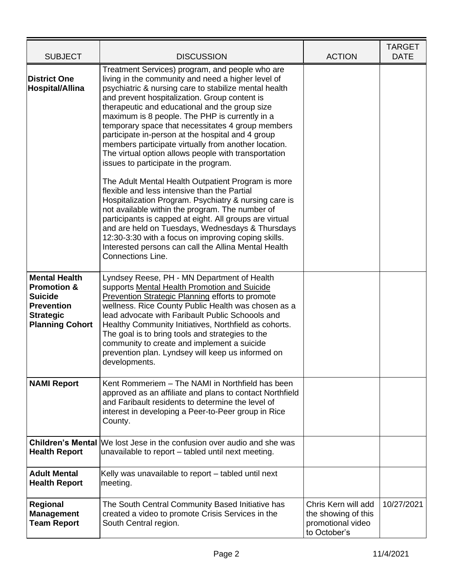| <b>SUBJECT</b>                                                                                                                      | <b>DISCUSSION</b>                                                                                                                                                                                                                                                                                                                                                                                                                                                                                                                                                                                                                                                                                                                                                                                                                                                                                                                                                                                                                                           | <b>ACTION</b>                                                                   | <b>TARGET</b><br><b>DATE</b> |
|-------------------------------------------------------------------------------------------------------------------------------------|-------------------------------------------------------------------------------------------------------------------------------------------------------------------------------------------------------------------------------------------------------------------------------------------------------------------------------------------------------------------------------------------------------------------------------------------------------------------------------------------------------------------------------------------------------------------------------------------------------------------------------------------------------------------------------------------------------------------------------------------------------------------------------------------------------------------------------------------------------------------------------------------------------------------------------------------------------------------------------------------------------------------------------------------------------------|---------------------------------------------------------------------------------|------------------------------|
| <b>District One</b><br><b>Hospital/Allina</b>                                                                                       | Treatment Services) program, and people who are<br>living in the community and need a higher level of<br>psychiatric & nursing care to stabilize mental health<br>and prevent hospitalization. Group content is<br>therapeutic and educational and the group size<br>maximum is 8 people. The PHP is currently in a<br>temporary space that necessitates 4 group members<br>participate in-person at the hospital and 4 group<br>members participate virtually from another location.<br>The virtual option allows people with transportation<br>issues to participate in the program.<br>The Adult Mental Health Outpatient Program is more<br>flexible and less intensive than the Partial<br>Hospitalization Program. Psychiatry & nursing care is<br>not available within the program. The number of<br>participants is capped at eight. All groups are virtual<br>and are held on Tuesdays, Wednesdays & Thursdays<br>12:30-3:30 with a focus on improving coping skills.<br>Interested persons can call the Allina Mental Health<br>Connections Line. |                                                                                 |                              |
| <b>Mental Health</b><br><b>Promotion &amp;</b><br><b>Suicide</b><br><b>Prevention</b><br><b>Strategic</b><br><b>Planning Cohort</b> | Lyndsey Reese, PH - MN Department of Health<br>supports Mental Health Promotion and Suicide<br>Prevention Strategic Planning efforts to promote<br>wellness. Rice County Public Health was chosen as a<br>lead advocate with Faribault Public Schoools and<br>Healthy Community Initiatives, Northfield as cohorts.<br>The goal is to bring tools and strategies to the<br>community to create and implement a suicide<br>prevention plan. Lyndsey will keep us informed on<br>developments.                                                                                                                                                                                                                                                                                                                                                                                                                                                                                                                                                                |                                                                                 |                              |
| <b>NAMI Report</b>                                                                                                                  | Kent Rommeriem - The NAMI in Northfield has been<br>approved as an affiliate and plans to contact Northfield<br>and Faribault residents to determine the level of<br>interest in developing a Peer-to-Peer group in Rice<br>County.                                                                                                                                                                                                                                                                                                                                                                                                                                                                                                                                                                                                                                                                                                                                                                                                                         |                                                                                 |                              |
| <b>Health Report</b>                                                                                                                | <b>Children's Mental We lost Jese in the confusion over audio and she was</b><br>unavailable to report – tabled until next meeting.                                                                                                                                                                                                                                                                                                                                                                                                                                                                                                                                                                                                                                                                                                                                                                                                                                                                                                                         |                                                                                 |                              |
| <b>Adult Mental</b><br><b>Health Report</b>                                                                                         | Kelly was unavailable to report – tabled until next<br>meeting.                                                                                                                                                                                                                                                                                                                                                                                                                                                                                                                                                                                                                                                                                                                                                                                                                                                                                                                                                                                             |                                                                                 |                              |
| Regional<br><b>Management</b><br><b>Team Report</b>                                                                                 | The South Central Community Based Initiative has<br>created a video to promote Crisis Services in the<br>South Central region.                                                                                                                                                                                                                                                                                                                                                                                                                                                                                                                                                                                                                                                                                                                                                                                                                                                                                                                              | Chris Kern will add<br>the showing of this<br>promotional video<br>to October's | 10/27/2021                   |